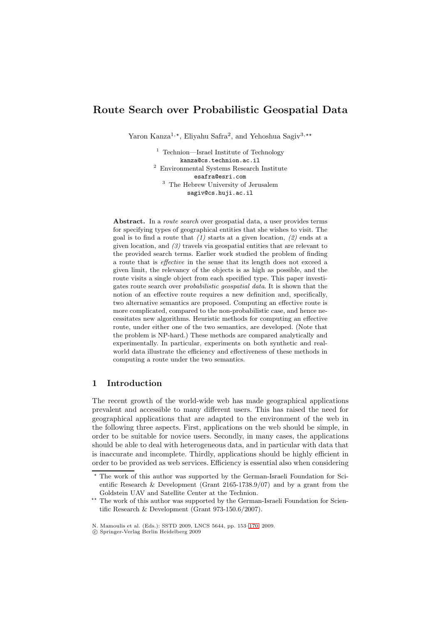# **Route Search over Probabilistic Geospatial Data**

Yaron Kanza<sup>1,\*</sup>, Eliyahu Safra<sup>2</sup>, and Yehoshua Sagiv<sup>3,\*\*</sup>

<sup>1</sup> Technion—Israel Institute of Technology  $^{\rm a}$ kanza@cs.technion.ac.il $^{\rm a}$ Environmental Systems Research Institute esafra@esri.com<br><sup>3</sup> The Hebrew University of Jerusalem sagiv@cs.huji.ac.il

Abstract. In a *route search* over geospatial data, a user provides terms for specifying types of geographical entities that she wishes to visit. The goal is to find a route that  $(1)$  starts at a given location,  $(2)$  ends at a given location, and (3) travels via geospatial entities that are relevant to the provided search terms. Earlier work studied the problem of finding a route that is effective in the sense that its length does not exceed a given limit, the relevancy of the objects is as high as possible, and the route visits a single object from each specified type. This paper investigates route search over probabilistic geospatial data. It is shown that the notion of an effective route requires a new definition and, specifically, two alternative semantics are proposed. Computing an effective route is more complicated, compared to the non-probabilistic case, and hence necessitates new algorithms. Heuristic methods for computing an effective route, under either one of the two semantics, are developed. (Note that the problem is NP-hard.) These methods are compared analytically and experimentally. In particular, experiments on both synthetic and realworld data illustrate the efficiency and effectiveness of these methods in computing a route under the two semantics.

## **1 Introduction**

<span id="page-0-0"></span>The recent growth of the world-wide web has made geographical applications prevalent and accessible to many different users. This has raised the need for geographical applications that are adapted to the environment of the web in the following three aspects. First, applications on the web should be simple, in order to be suitable for novice users. Secondly, in many cases, the applications should be able to deal with heterogeneous data, and in particular with data that is inaccurate and incomplete. Thirdly, applications should be highly efficient in order to be provided as web services. Efficiency is essential also when considering

<sup>\*</sup> The work of this author was supported by the German-Israeli Foundation for Scientific Research & Development (Grant 2165-1738.9/07) and by a grant from the Goldstein UAV and Satellite Center at the Technion.

<sup>\*\*</sup> The work of this author was supported by the German-Israeli Foundation for Scientific Research & Development (Grant 973-150.6/2007).

N. Mamoulis et al. (Eds.): SSTD 2009, LNCS 5644, pp. 153–170, 2009.

<sup>-</sup>c Springer-Verlag Berlin Heidelberg 2009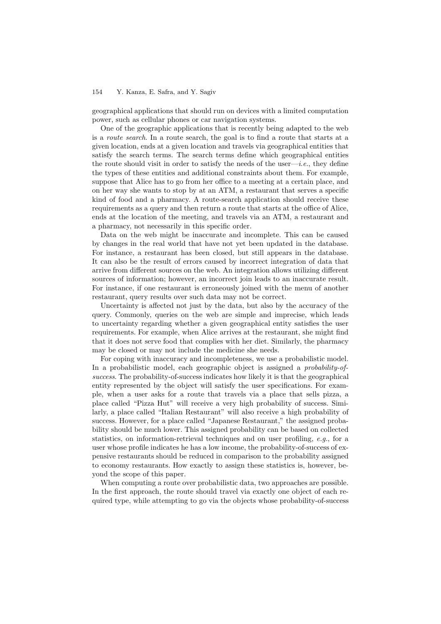geographical applications that should run on devices with a limited computation power, such as cellular phones or car navigation systems.

One of the geographic applications that is recently being adapted to the web is a *route search*. In a route search, the goal is to find a route that starts at a given location, ends at a given location and travels via geographical entities that satisfy the search terms. The search terms define which geographical entities the route should visit in order to satisfy the needs of the user—*i.e.*, they define the types of these entities and additional constraints about them. For example, suppose that Alice has to go from her office to a meeting at a certain place, and on her way she wants to stop by at an ATM, a restaurant that serves a specific kind of food and a pharmacy. A route-search application should receive these requirements as a query and then return a route that starts at the office of Alice, ends at the location of the meeting, and travels via an ATM, a restaurant and a pharmacy, not necessarily in this specific order.

Data on the web might be inaccurate and incomplete. This can be caused by changes in the real world that have not yet been updated in the database. For instance, a restaurant has been closed, but still appears in the database. It can also be the result of errors caused by incorrect integration of data that arrive from different sources on the web. An integration allows utilizing different sources of information; however, an incorrect join leads to an inaccurate result. For instance, if one restaurant is erroneously joined with the menu of another restaurant, query results over such data may not be correct.

Uncertainty is affected not just by the data, but also by the accuracy of the query. Commonly, queries on the web are simple and imprecise, which leads to uncertainty regarding whether a given geographical entity satisfies the user requirements. For example, when Alice arrives at the restaurant, she might find that it does not serve food that complies with her diet. Similarly, the pharmacy may be closed or may not include the medicine she needs.

For coping with inaccuracy and incompleteness, we use a probabilistic model. In a probabilistic model, each geographic object is assigned a *probability-ofsuccess*. The probability-of-success indicates how likely it is that the geographical entity represented by the object will satisfy the user specifications. For example, when a user asks for a route that travels via a place that sells pizza, a place called "Pizza Hut" will receive a very high probability of success. Similarly, a place called "Italian Restaurant" will also receive a high probability of success. However, for a place called "Japanese Restaurant," the assigned probability should be much lower. This assigned probability can be based on collected statistics, on information-retrieval techniques and on user profiling, *e.g.*, for a user whose profile indicates he has a low income, the probability-of-success of expensive restaurants should be reduced in comparison to the probability assigned to economy restaurants. How exactly to assign these statistics is, however, beyond the scope of this paper.

When computing a route over probabilistic data, two approaches are possible. In the first approach, the route should travel via exactly one object of each required type, while attempting to go via the objects whose probability-of-success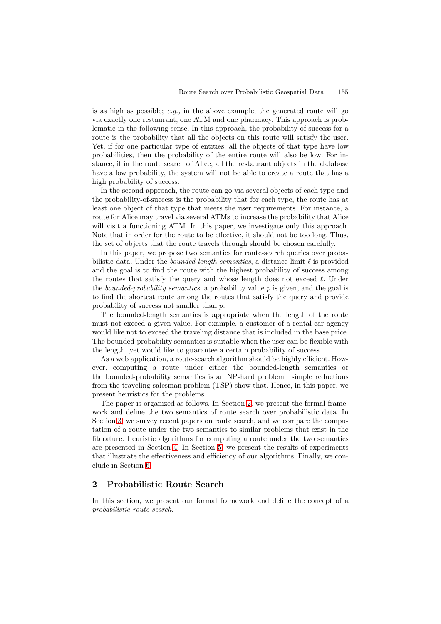is as high as possible; *e.g.,* in the above example, the generated route will go via exactly one restaurant, one ATM and one pharmacy. This approach is problematic in the following sense. In this approach, the probability-of-success for a route is the probability that all the objects on this route will satisfy the user. Yet, if for one particular type of entities, all the objects of that type have low probabilities, then the probability of the entire route will also be low. For instance, if in the route search of Alice, all the restaurant objects in the database have a low probability, the system will not be able to create a route that has a high probability of success.

In the second approach, the route can go via several objects of each type and the probability-of-success is the probability that for each type, the route has at least one object of that type that meets the user requirements. For instance, a route for Alice may travel via several ATMs to increase the probability that Alice will visit a functioning ATM. In this paper, we investigate only this approach. Note that in order for the route to be effective, it should not be too long. Thus, the set of objects that the route travels through should be chosen carefully.

In this paper, we propose two semantics for route-search queries over probabilistic data. Under the *bounded-length semantics*, a distance limit  $\ell$  is provided and the goal is to find the route with the highest probability of success among the routes that satisfy the query and whose length does not exceed  $\ell$ . Under the *bounded-probability semantics*, a probability value p is given, and the goal is to find the shortest route among the routes that satisfy the query and provide probability of success not smaller than p.

The bounded-length semantics is appropriate when the length of the route must not exceed a given value. For example, a customer of a rental-car agency would like not to exceed the traveling distance that is included in the base price. The bounded-probability semantics is suitable when the user can be flexible with the length, yet would like to guarantee a certain probability of success.

As a web application, a route-search algorithm should be highly efficient. However, computing a route under either the bounded-length semantics or the bounded-probability semantics is an NP-hard problem—simple reductions from the traveling-salesman problem (TSP) show that. Hence, in this paper, we present heuristics for the problems.

The paper is organized as follows. In Section 2, we present the formal framework and define the two semantics of route search over probabilistic data. In Section 3, we survey recent papers on route search, and we compare the computation of a route under the two semantics to similar problems that exist in the literature. Heuristic algorithms for computing [a r](#page-2-0)oute under the two semantics are presented in Section 4. In Section 5, we present the results of experiments that ill[ust](#page-5-0)rate the effectiveness and efficiency of our algorithms. Finally, we conclude in Section 6.

## **2 Probabilistic [Ro](#page-6-0)ute Sear[ch](#page-12-0)**

<span id="page-2-0"></span>In this section, [we](#page-16-0) present our formal framework and define the concept of a *probabilistic route search*.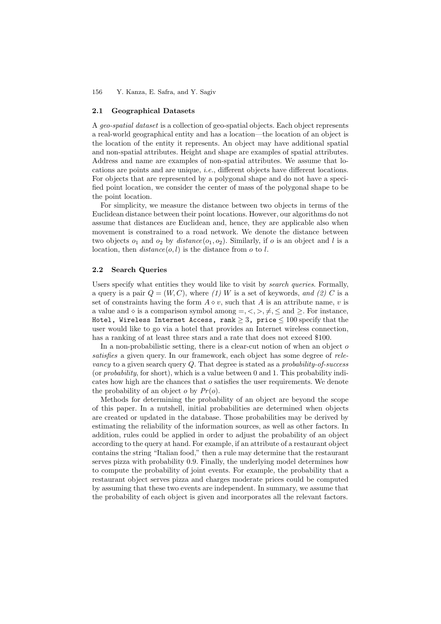### **2.1 Geographical Datasets**

A *geo-spatial dataset* is a collection of geo-spatial objects. Each object represents a real-world geographical entity and has a location—the location of an object is the location of the entity it represents. An object may have additional spatial and non-spatial attributes. Height and shape are examples of spatial attributes. Address and name are examples of non-spatial attributes. We assume that locations are points and are unique, *i.e.*, different objects have different locations. For objects that are represented by a polygonal shape and do not have a specified point location, we consider the center of mass of the polygonal shape to be the point location.

For simplicity, we measure the distance between two objects in terms of the Euclidean distance between their point locations. However, our algorithms do not assume that distances are Euclidean and, hence, they are applicable also when movement is constrained to a road network. We denote the distance between two objects  $o_1$  and  $o_2$  by *distance*( $o_1, o_2$ ). Similarly, if o is an object and l is a location, then  $distance(o, l)$  is the distance from  $o$  to  $l$ .

#### **2.2 Search Queries**

Users specify what entities they would like to visit by *search queries*. Formally, a query is a pair  $Q = (W, C)$ , where (1) W is a set of keywords, and (2) C is a set of constraints having the form  $A \diamond v$ , such that A is an attribute name, v is a value and  $\diamond$  is a comparison symbol among  $=, \leq, \geq, \neq, \leq$  and  $\geq$ . For instance, Hotel, Wireless Internet Access, rank  $\geq 3$ , price  $\leq 100$  specify that the user would like to go via a hotel that provides an Internet wireless connection, has a ranking of at least three stars and a rate that does not exceed \$100.

In a non-probabilistic setting, there is a clear-cut notion of when an object of *satisfies* a given query. In our framework, each object has some degree of *relevancy* to a given search query Q. That degree is stated as a *probability-of-success* (or *probability*, for short), which is a value between 0 and 1. This probability indicates how high are the chances that o satisfies the user requirements. We denote the probability of an object  $o$  by  $Pr(o)$ .

Methods for determining the probability of an object are beyond the scope of this paper. In a nutshell, initial probabilities are determined when objects are created or updated in the database. Those probabilities may be derived by estimating the reliability of the information sources, as well as other factors. In addition, rules could be applied in order to adjust the probability of an object according to the query at hand. For example, if an attribute of a restaurant object contains the string "Italian food," then a rule may determine that the restaurant serves pizza with probability 0.9. Finally, the underlying model determines how to compute the probability of joint events. For example, the probability that a restaurant object serves pizza and charges moderate prices could be computed by assuming that these two events are independent. In summary, we assume that the probability of each object is given and incorporates all the relevant factors.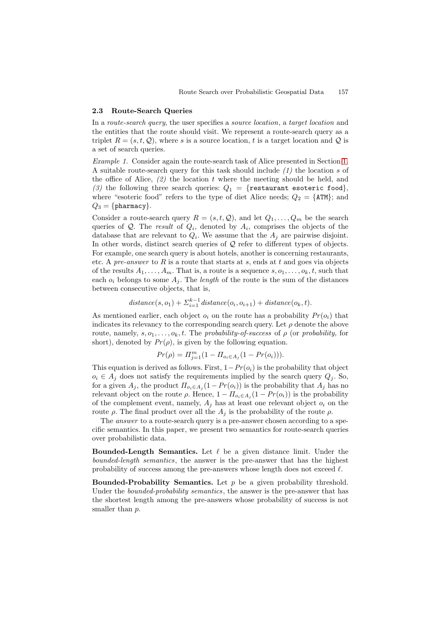#### **2.3 Route-Search Queries**

In a *route-search query*, the user specifies a *source location*, a *target location* and the entities that the route should visit. We represent a route-search query as a triplet  $R = (s, t, Q)$ , where s is a source location, t is a target location and Q is a set of search queries.

*Example 1.* Consider again the route-search task of Alice presented in Section 1. A suitable route-search query for this task should include *(1)* the location s of the office of Alice,  $(2)$  the location t where the meeting should be held, and (3) the following three search queries:  $Q_1 = \{$ restaurant esoteric food $\}$ , where "esoteric food" refers to the type of diet Alice needs;  $Q_2 = {\text{ATM}}$ ; a[nd](#page-0-0)  $Q_3 = \{\texttt{pharmacy}\}.$ 

Consider a route-search query  $R = (s, t, Q)$ , and let  $Q_1, \ldots, Q_m$  be the search queries of  $Q$ . The *result* of  $Q_i$ , denoted by  $A_i$ , comprises the objects of the database that are relevant to  $Q_i$ . We assume that the  $A_j$  are pairwise disjoint. In other words, distinct search queries of  $Q$  refer to different types of objects. For example, one search query is about hotels, another is concerning restaurants, etc. A *pre-answer* to R is a route that starts at  $s$ , ends at  $t$  and goes via objects of the results  $A_1, \ldots, A_m$ . That is, a route is a sequence  $s, o_1, \ldots, o_k, t$ , such that each  $o_i$  belongs to some  $A_i$ . The *length* of the route is the sum of the distances between consecutive objects, that is,

$$
distance(s, o1) + \sum_{i=1}^{k-1} distance(oi, oi+1) + distance(ok, t).
$$

As mentioned earlier, each object  $o_i$  on the route has a probability  $Pr(o_i)$  that indicates its relevancy to the corresponding search query. Let  $\rho$  denote the above route, namely,  $s, o_1, \ldots, o_k, t$ . The *probability-of-success* of  $\rho$  (or *probability*, for short), denoted by  $Pr(\rho)$ , is given by the following equation.

$$
Pr(\rho) = \Pi_{j=1}^{m} (1 - \Pi_{o_i \in A_j} (1 - Pr(o_i))).
$$

This equation is derived as follows. First,  $1 - Pr(o_i)$  is the probability that object  $o_i \in A_i$  does not satisfy the requirements implied by the search query  $Q_i$ . So, for a given  $A_j$ , the product  $\Pi_{o_i \in A_j}(1 - Pr(o_i))$  is the probability that  $A_j$  has no relevant object on the route  $\rho$ . Hence,  $1 - \prod_{o_i \in A_j} (1 - Pr(o_i))$  is the probability of the complement event, namely,  $A_j$  has at least one relevant object  $o_i$  on the route *ρ*. The final product over all the  $A_j$  is the probability of the route *ρ*.

The *answer* to a route-search query is a pre-answer chosen according to a specific semantics. In this paper, we present two semantics for route-search queries over probabilistic data.

**Bounded-Length Semantics.** Let  $\ell$  be a given distance limit. Under the *bounded-length semantics*, the answer is the pre-answer that has the highest probability of success among the pre-answers whose length does not exceed  $\ell$ .

**Bounded-Probability Semantics.** Let p be a given probability threshold. Under the *bounded-probability semantics*, the answer is the pre-answer that has the shortest length among the pre-answers whose probability of success is not smaller than  $p$ .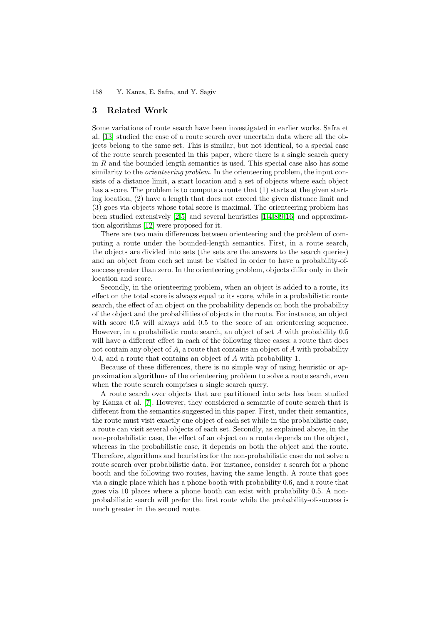## **3 Related Work**

<span id="page-5-0"></span>Some variations of route search have been investigated in earlier works. Safra et al. [13] studied the case of a route search over uncertain data where all the objects belong to the same set. This is similar, but not identical, to a special case of the route search presented in this paper, where there is a single search query in  $R$  and the bounded length semantics is used. This special case also has some sim[ilar](#page-17-0)ity to the *orienteering problem*. In the orienteering problem, the input consists of a distance limit, a start location and a set of objects where each object has a score. The problem is to compute a route that  $(1)$  starts at the given starting location, (2) have a length that does not exceed the given distance limit and (3) goes via objects whose total score is maximal. The orienteering problem has been studied extensively [2,5] and several heuristics [1,4,8,9,16] and approximation algorithms [12] were proposed for it.

There are two main differences between orienteering and the problem of computing a route under the bounded-length semantics. First, in a route search, the objects are divided i[nto](#page-17-1) [s](#page-17-2)ets (the sets are the an[sw](#page-17-3)[er](#page-17-4)[s](#page-17-5) [to](#page-17-6) [th](#page-17-7)e search queries) and an object f[rom](#page-17-8) each set must be visited in order to have a probability-ofsuccess greater than zero. In the orienteering problem, objects differ only in their location and score.

Secondly, in the orienteering problem, when an object is added to a route, its effect on the total score is always equal to its score, while in a probabilistic route search, the effect of an object on the probability depends on both the probability of the object and the probabilities of objects in the route. For instance, an object with score 0.5 will always add 0.5 to the score of an orienteering sequence. However, in a probabilistic route search, an object of set A with probability 0.5 will have a different effect in each of the following three cases: a route that does not contain any object of  $A$ , a route that contains an object of  $A$  with probability 0.4, and a route that contains an object of A with probability 1.

Because of these differences, there is no simple way of using heuristic or approximation algorithms of the orienteering problem to solve a route search, even when the route search comprises a single search query.

A route search over objects that are partitioned into sets has been studied by Kanza et al. [7]. However, they considered a semantic of route search that is different from the semantics suggested in this paper. First, under their semantics, the route must visit exactly one object of each set while in the probabilistic case, a route can visit several objects of each set. Secondly, as explained above, in the non-probabilisti[c c](#page-17-9)ase, the effect of an object on a route depends on the object, whereas in the probabilistic case, it depends on both the object and the route. Therefore, algorithms and heuristics for the non-probabilistic case do not solve a route search over probabilistic data. For instance, consider a search for a phone booth and the following two routes, having the same length. A route that goes via a single place which has a phone booth with probability 0.6, and a route that goes via 10 places where a phone booth can exist with probability 0.5. A nonprobabilistic search will prefer the first route while the probability-of-success is much greater in the second route.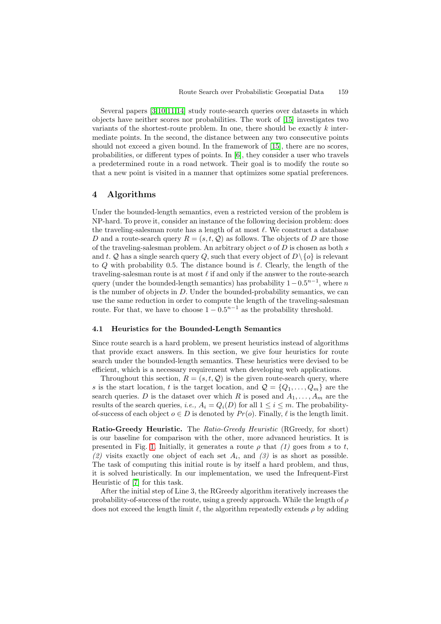Several papers [3,10,11,14] study route-search queries over datasets in which objects have neither scores nor probabilities. The work of [15] investigates two variants of the shortest-route problem. In one, there should be exactly  $k$  intermediate points. In the second, the distance between any two consecutive points should not exceed [a](#page-17-10) [giv](#page-17-11)[en](#page-17-12) [bo](#page-17-13)und. In the framework of [15], there are no scores, probabilities, or different types of points. In [6], they consid[er a](#page-17-14) user who travels a predetermined route in a road network. Their goal is to modify the route so that a new point is visited in a manner that optimizes some spatial preferences.

## **4 Algorithms**

<span id="page-6-0"></span>Under the bounded-length semantics, even a restricted version of the problem is NP-hard. To prove it, consider an instance of the following decision problem: does the traveling-salesman route has a length of at most  $\ell$ . We construct a database D and a route-search query  $R = (s, t, Q)$  as follows. The objects of D are those of the traveling-salesman problem. An arbitrary object  $o$  of  $D$  is chosen as both  $s$ and t. Q has a single search query Q, such that every object of  $D \setminus \{o\}$  is relevant to Q with probability 0.5. The distance bound is  $\ell$ . Clearly, the length of the traveling-salesman route is at most  $\ell$  if and only if the answer to the route-search query (under the bounded-length semantics) has probability  $1-0.5^{n-1}$ , where n is the number of objects in  $D$ . Under the bounded-probability semantics, we can use the same reduction in order to compute the length of the traveling-salesman route. For that, we have to choose  $1 - 0.5^{n-1}$  as the probability threshold.

### **4.1 Heuristics for the Bounded-Length Semantics**

Since route search is a hard problem, we present heuristics instead of algorithms that provide exact answers. In this section, we give four heuristics for route search under the bounded-length semantics. These heuristics were devised to be efficient, which is a necessary requirement when developing web applications.

Throughout this section,  $R = (s, t, Q)$  is the given route-search query, where s is the start location, t is the target location, and  $\mathcal{Q} = \{Q_1, \ldots, Q_m\}$  are the search queries. D is the dataset over which R is posed and  $A_1, \ldots, A_m$  are the results of the search queries, *i.e.*,  $A_i = Q_i(D)$  for all  $1 \leq i \leq m$ . The probabilityof-success of each object  $o \in D$  is denoted by  $Pr(o)$ . Finally,  $\ell$  is the length limit.

**Ratio-Greedy Heuristic.** The *Ratio-Greedy Heuristic* (RGreedy, for short) is our baseline for comparison with the other, more advanced heuristics. It is presented in Fig. 1. Initially, it generates a route  $\rho$  that  $(1)$  goes from s to t, (2) visits exactly one object of each set  $A_i$ , and  $(\beta)$  is as short as possible. The task of computing this initial route is by itself a hard problem, and thus, it is solved heuristically. In our implementation, we used the Infrequent-First Heuristic of [7] fo[r t](#page-7-0)his task.

After the initial step of Line 3, the RGreedy algorithm iteratively increases the probability-of-success of the route, using a greedy approach. While the length of  $\rho$ does not exceed the length limit  $\ell$ , the algorithm repeatedly extends  $\rho$  by adding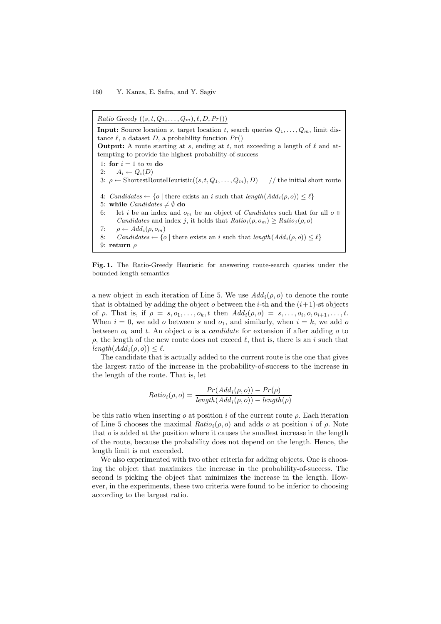*Ratio Greedy*  $((s, t, Q_1, \ldots, Q_m), \ell, D, Pr())$ 

<span id="page-7-0"></span>**Input:** Source location s, target location t, search queries  $Q_1, \ldots, Q_m$ , limit distance  $\ell$ , a dataset D, a probability function  $Pr()$ **Output:** A route starting at s, ending at t, not exceeding a length of  $\ell$  and attempting to provide the highest probability-of-success 1: **for**  $i = 1$  to m **do** 2:  $A_i \leftarrow Q_i(D)$ 3:  $\rho \leftarrow$  ShortestRouteHeuristic( $(s, t, Q_1, \ldots, Q_m)$ , D) // the initial short route 4: Candidates  $\leftarrow \{o \mid \text{there exists an } i \text{ such that } length(Add_i(\rho, o)) \leq \ell\}$ 5: **while**  $Condates \neq \emptyset$  **do** 6: let i be an index and  $o_m$  be an object of *Candidates* such that for all  $o \in$ *Candidates* and index j, it holds that  $Ratio_i(\rho, o_m) \geq Ratio_j(\rho, o)$ 7:  $\rho \leftarrow Add_i(\rho, o_m)$ 8: Candidates  $\leftarrow \{o \mid \text{there exists an } i \text{ such that } length(Add_i(\rho, o)) \leq \ell\}$ 9: **return** ρ

**Fig. 1.** The Ratio-Greedy Heuristic for answering route-search queries under the bounded-length semantics

a new object in each iteration of Line 5. We use  $Add_i(\rho, o)$  to denote the route that is obtained by adding the object  $o$  between the *i*-th and the  $(i+1)$ -st objects of  $\rho$ . That is, if  $\rho = s, o_1, \ldots, o_k, t$  then  $Add_i(\rho, o) = s, \ldots, o_i, o, o_{i+1}, \ldots, t$ . When  $i = 0$ , we add o between s and  $o_1$ , and similarly, when  $i = k$ , we add o between  $o_k$  and  $t$ . An object  $o$  is a *candidate* for extension if after adding  $o$  to  $\rho$ , the length of the new route does not exceed  $\ell$ , that is, there is an i such that  $length(Add_i(\rho, o)) \leq \ell.$ 

The candidate that is actually added to the current route is the one that gives the largest ratio of the increase in the probability-of-success to the increase in the length of the route. That is, let

$$
Ratio_i(\rho, o) = \frac{Pr(Add_i(\rho, o)) - Pr(\rho)}{length(Add_i(\rho, o)) - length(\rho)}
$$

be this ratio when inserting o at position i of the current route  $\rho$ . Each iteration of Line 5 chooses the maximal  $Ratio<sub>i</sub>(\rho, o)$  and adds o at position i of  $\rho$ . Note that  $o$  is added at the position where it causes the smallest increase in the length of the route, because the probability does not depend on the length. Hence, the length limit is not exceeded.

We also experimented with two other criteria for adding objects. One is choosing the object that maximizes the increase in the probability-of-success. The second is picking the object that minimizes the increase in the length. However, in the experiments, these two criteria were found to be inferior to choosing according to the largest ratio.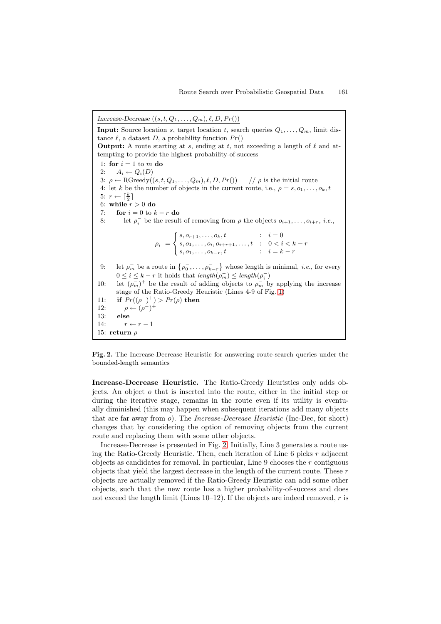$Increase\text{-}Decrease$   $((s, t, Q_1, \ldots, Q_m), \ell, D, Pr())$ **Input:** Source location s, target location t, search queries  $Q_1, \ldots, Q_m$ , limit distance  $\ell$ , a dataset D, a probability function  $Pr()$ **Output:** A route starting at  $s$ , ending at  $t$ , not exceeding a length of  $\ell$  and attempting to provide the highest probability-of-success 1: **for**  $i = 1$  to  $m$  **do** 2:  $A_i \leftarrow Q_i(D)$ 3:  $\rho \leftarrow \text{RGreedy}((s, t, Q_1, \ldots, Q_m), \ell, D, Pr()) \quad // \rho \text{ is the initial route}$ 4: let k be the number of objects in the current route, i.e.,  $\rho = s, o_1, \ldots, o_k, t$ 5:  $r \leftarrow \lceil \frac{k}{2} \rceil$ 6: while  $r > 0$  do 7: **for**  $i = 0$  to  $k - r$  **do** 8: let  $\rho_i^-$  be the result of removing from  $\rho$  the objects  $o_{i+1}, \ldots, o_{i+r}$ , *i.e.*,  $\rho_i^- =$ ⎧  $\overline{J}$  $\sqrt{2}$  $s, o_{r+1}, \ldots, o_k, t$  :  $i = 0$  $s, o_1, \ldots, o_i, o_{i+r+1}, \ldots, t \quad : \quad 0 < i < k-r$  $s, o_1, \ldots, o_{k-r}, t$  :  $i = k - r$ 9: let  $\rho_m^-$  be a route in  $\{\rho_0^-, \ldots, \rho_{k-r}^-\}$  whose length is minimal, *i.e.*, for every  $0 \leq i \leq k-r$  it holds that  $length(\rho_m^-) \leq length(\rho_i^-)$ 10: let  $(\rho_m^-)^+$  be the result of adding objects to  $\rho_m^-$  by applying the increase stage of the Ratio-Greedy Heuristic (Lines 4-9 of Fig. 1) 11: **if**  $Pr((\rho^-)^+) > Pr(\rho)$  then 12:  $\rho \leftarrow (\rho^{-})^{+}$ 13: **else** 14:  $r \leftarrow r - 1$ 15: **return** ρ



<span id="page-8-0"></span>**Increase-Decrease Heuristic.** The Ratio-Greedy Heuristics only adds objects. An object o that is inserted into the route, either in the initial step or during the iterative stage, remains in the route even if its utility is eventually diminished (this may happen when subsequent iterations add many objects that are far away from o). The *Increase-Decrease Heuristic* (Inc-Dec, for short) changes that by considering the option of removing objects from the current route and replacing them with some other objects.

Increase-Decrease is presented in Fig. 2. Initially, Line 3 generates a route using the Ratio-Greedy Heuristic. Then, each iteration of Line 6 picks  $r$  adjacent objects as candidates for removal. In particular, Line  $9$  chooses the  $r$  contiguous objects that yield the largest decrease in the length of the current route. These  $r$ objects are actually removed if the Rati[o-](#page-8-0)Greedy Heuristic can add some other objects, such that the new route has a higher probability-of-success and does not exceed the length limit (Lines  $10-12$ ). If the objects are indeed removed, r is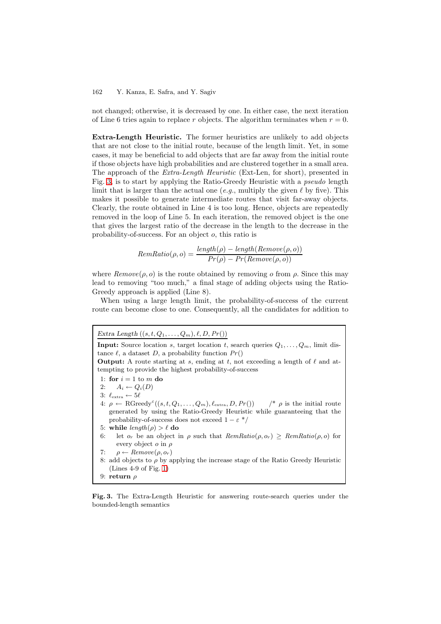not changed; otherwise, it is decreased by one. In either case, the next iteration of Line 6 tries again to replace r objects. The algorithm terminates when  $r = 0$ .

**Extra-Length Heuristic.** The former heuristics are unlikely to add objects that are not close to the initial route, because of the length limit. Yet, in some cases, it may be beneficial to add objects that are far away from the initial route if those objects have high probabilities and are clustered together in a small area. The approach of the *Extra-Length Heuristic* (Ext-Len, for short), presented in Fig. 3, is to start by applying the Ratio-Greedy Heuristic with a *pseudo* length limit that is larger than the actual one  $(e.g.,$  multiply the given  $\ell$  by five). This makes it possible to generate intermediate routes that visit far-away objects. Clearly, the route obtained in Line 4 is too long. Hence, objects are repeatedly rem[ove](#page-9-0)d in the loop of Line 5. In each iteration, the removed object is the one that gives the largest ratio of the decrease in the length to the decrease in the probability-of-success. For an object o, this ratio is

$$
RemRatio(\rho, o) = \frac{length(\rho) - length(Remove(\rho, o))}{Pr(\rho) - Pr(Remove(\rho, o))}
$$

where  $Remove(\rho, o)$  is the route obtained by removing o from  $\rho$ . Since this may lead to removing "too much," a final stage of adding objects using the Ratio-Greedy approach is applied (Line 8).

When using a large length limit, the probability-of-success of the current route can become close to one. Consequently, all the candidates for addition to



<span id="page-9-0"></span>**Fig. 3.** The Extra-Length Heuristic for answering route-search queries under the bounded-length semant[ic](#page-7-0)s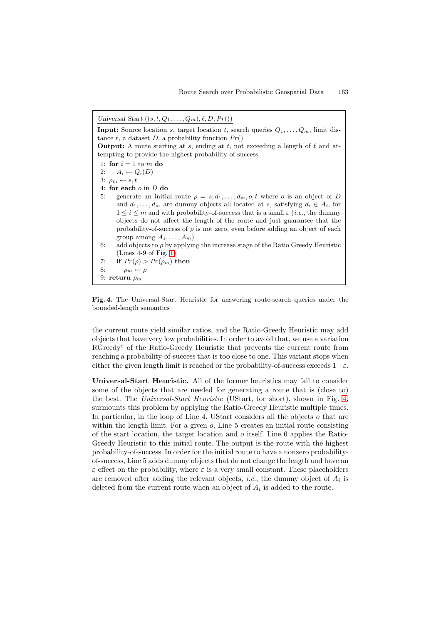*Universal Start*  $((s, t, Q_1, \ldots, Q_m), \ell, D, Pr))$ **Input:** Source location s, target location t, search queries  $Q_1, \ldots, Q_m$ , limit distance  $\ell$ , a dataset D, a probability function  $Pr()$ **Output:** A route starting at  $s$ , ending at  $t$ , not exceeding a length of  $\ell$  and attempting to provide the highest probability-of-success 1: **for**  $i = 1$  to  $m$  **do** 2:  $A_i \leftarrow Q_i(D)$ 3:  $\rho_m \leftarrow s, t$ 4: **for each** o in D **do** 5: generate an initial route  $\rho = s, d_1, \ldots, d_m, o, t$  where *o* is an object of *D* and  $d_1, \ldots, d_m$  are dummy objects all located at s, satisfying  $d_i \in A_i$ , for  $1 \leq i \leq m$  and with probability-of-success that is a small  $\varepsilon$  (*i.e.*, the dummy objects do not affect the length of the route and just guarantee that the probability-of-success of  $\rho$  is not zero, even before adding an object of each group among  $A_1, \ldots, A_m$ ) 6: add objects to  $\rho$  by applying the increase stage of the Ratio Greedy Heuristic (Lines 4-9 of Fig. 1) 7: **if**  $Pr(\rho) > Pr(\rho_m)$  then 8:  $\rho_m \leftarrow \rho$ 9: **return**  $\rho_m$ 

<span id="page-10-0"></span>**Fig. 4.** The Universal-Start Heuristic for answering route-search queries under the bounded-length semantics

the current route yield similar ratios, and the Ratio-Greedy Heuristic may add objects that have very low probabilities. In order to avoid that, we use a variation  $RGreadv^{\epsilon}$  of the Ratio-Greedy Heuristic that prevents the current route from reaching a probability-of-success that is too close to one. This variant stops when either the given length limit is reached or the probability-of-success exceeds  $1-\varepsilon$ .

**Universal-Start Heuristic.** All of the former heuristics may fail to consider some of the objects that are needed for generating a route that is (close to) the best. The *Universal-Start Heuristic* (UStart, for short), shown in Fig. 4, surmounts this problem by applying the Ratio-Greedy Heuristic multiple times. In particular, in the loop of Line 4, UStart considers all the objects  $o$  that are within the length limit. For a given  $o$ , Line 5 creates an initial route consisting of the start location, the target location and  $\sigma$  itself. Line 6 applies the Rat[io-](#page-10-0)Greedy Heuristic to this initial route. The output is the route with the highest probability-of-success. In order for the initial route to have a nonzero probabilityof-success, Line 5 adds dummy objects that do not change the length and have an  $\varepsilon$  effect on the probability, where  $\varepsilon$  is a very small constant. These placeholders are removed after adding the relevant objects, *i.e.*, the dummy object of  $A_i$  is deleted from the current route when an object of  $A_i$  is added to the route.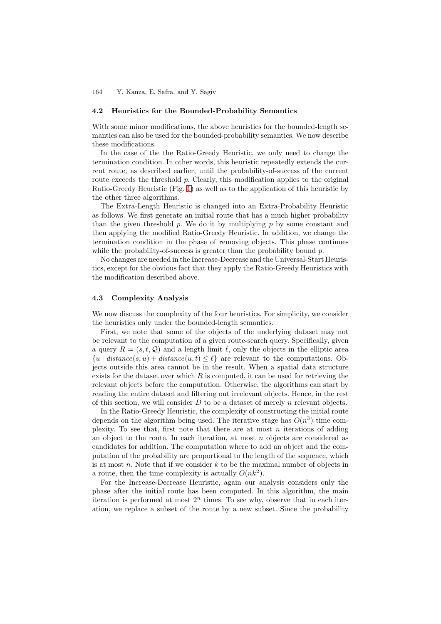#### **4.2 Heuristics for the Bounded-Probability Semantics**

With some minor modifications, the above heuristics for the bounded-length semantics can also be used for the bounded-probability semantics. We now describe these modifications.

In the case of the the Ratio-Greedy Heuristic, we only need to change the termination condition. In other words, this heuristic repeatedly extends the current route, as described earlier, until the probability-of-success of the current route exceeds the threshold  $p$ . Clearly, this modification applies to the original Ratio-Greedy Heuristic (Fig. 1) as well as to the application of this heuristic by the other three algorithms.

The Extra-Length Heuristic is changed into an Extra-Probability Heuristic as follows. We first generate an initial route that has a much higher probability than the given threshold  $p$ . [W](#page-7-0)e do it by multiplying  $p$  by some constant and then applying the modified Ratio-Greedy Heuristic. In addition, we change the termination condition in the phase of removing objects. This phase continues while the probability-of-success is greater than the probability bound  $p$ .

No changes are needed in the Increase-Decrease and the Universal-Start Heuristics, except for the obvious fact that they apply the Ratio-Greedy Heuristics with the modification described above.

### **4.3 Complexity Analysis**

We now discuss the complexity of the four heuristics. For simplicity, we consider the heuristics only under the bounded-length semantics.

First, we note that some of the objects of the underlying dataset may not be relevant to the computation of a given route-search query. Specifically, given a query  $R = (s, t, Q)$  and a length limit  $\ell$ , only the objects in the elliptic area  ${u \mid distance(s, u) + distance(u, t) \leq \ell}$  are relevant to the computations. Objects outside this area cannot be in the result. When a spatial data structure exists for the dataset over which  $R$  is computed, it can be used for retrieving the relevant objects before the computation. Otherwise, the algorithms can start by reading the entire dataset and filtering out irrelevant objects. Hence, in the rest of this section, we will consider  $D$  to be a dataset of merely  $n$  relevant objects.

In the Ratio-Greedy Heuristic, the complexity of constructing the initial route depends on the algorithm being used. The iterative stage has  $O(n^3)$  time complexity. To see that, first note that there are at most  $n$  iterations of adding an object to the route. In each iteration, at most  $n$  objects are considered as candidates for addition. The computation where to add an object and the computation of the probability are proportional to the length of the sequence, which is at most n. Note that if we consider  $k$  to be the maximal number of objects in a route, then the time complexity is actually  $O(nk^2)$ .

For the Increase-Decrease Heuristic, again our analysis considers only the phase after the initial route has been computed. In this algorithm, the main iteration is performed at most  $2^n$  times. To see why, observe that in each iteration, we replace a subset of the route by a new subset. Since the probability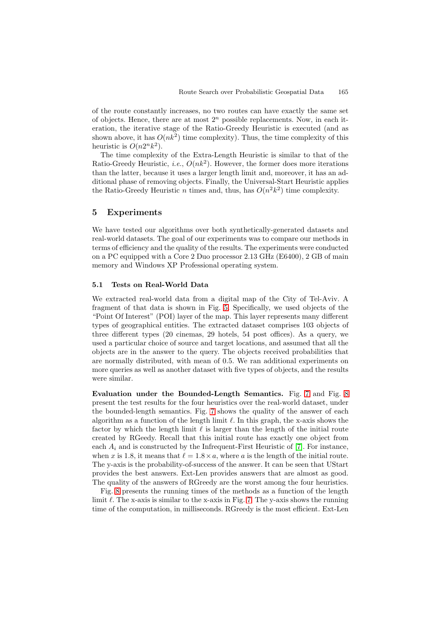of the route constantly increases, no two routes can have exactly the same set of objects. Hence, there are at most  $2<sup>n</sup>$  possible replacements. Now, in each iteration, the iterative stage of the Ratio-Greedy Heuristic is executed (and as shown above, it has  $O(nk^2)$  time complexity). Thus, the time complexity of this heuristic is  $O(n2^n k^2)$ .

The time complexity of the Extra-Length Heuristic is similar to that of the Ratio-Greedy Heuristic, *i.e.*,  $O(nk^2)$ . However, the former does more iterations than the latter, because it uses a larger length limit and, moreover, it has an additional phase of removing objects. Finally, the Universal-Start Heuristic applies the Ratio-Greedy Heuristic *n* times and, thus, has  $O(n^2k^2)$  time complexity.

### **5 Experiments**

<span id="page-12-0"></span>We have tested our algorithms over both synthetically-generated datasets and real-world datasets. The goal of our experiments was to compare our methods in terms of efficiency and the quality of the results. The experiments were conducted on a PC equipped with a Core 2 Duo processor 2.13 GHz (E6400), 2 GB of main memory and Windows XP Professional operating system.

### **5.1 Tests on Real-World Data**

We extracted real-world data from a digital map of the City of Tel-Aviv. A fragment of that data is shown in Fig. 5. Specifically, we used objects of the "Point Of Interest" (POI) layer of the map. This layer represents many different types of geographical entities. The extracted dataset comprises 103 objects of three different types (20 cinemas, 29 hotels, 54 post offices). As a query, we used a particular choice of source and ta[rge](#page-13-0)t locations, and assumed that all the objects are in the answer to the query. The objects received probabilities that are normally distributed, with mean of 0.5. We ran additional experiments on more queries as well as another dataset with five types of objects, and the results were similar.

**Evaluation under the Bounded-Length Semantics.** Fig. 7 and Fig. 8 present the test results for the four heuristics over the real-world dataset, under the bounded-length semantics. Fig. 7 shows the quality of the answer of each algorithm as a function of the length limit  $\ell$ . In this graph, the x-axis shows the factor by which th[e](#page-14-0) length limit  $\ell$  is larger than the length of the initial rou[te](#page-14-1) created by RGeedy. Recall that this initial route has exactly one object from each  $A_i$  and is constructed by the In[fre](#page-14-0)quent-First Heuristic of [7]. For instance, when x is 1.8, it means that  $\ell = 1.8 \times a$ , where a is the length of the initial route. The y-axis is the probability-of-success of the answer. It can be seen that UStart provides the best answers. Ext-Len provides answers that are almost as good. The quality of the answers of RGreedy are the worst among th[e f](#page-17-9)our heuristics.

Fig. 8 presents the running times of the methods as a function of the length limit  $\ell$ . The x-axis is similar to the x-axis in Fig. 7. The y-axis shows the running time of the computation, in milliseconds. RGreedy is the most efficient. Ext-Len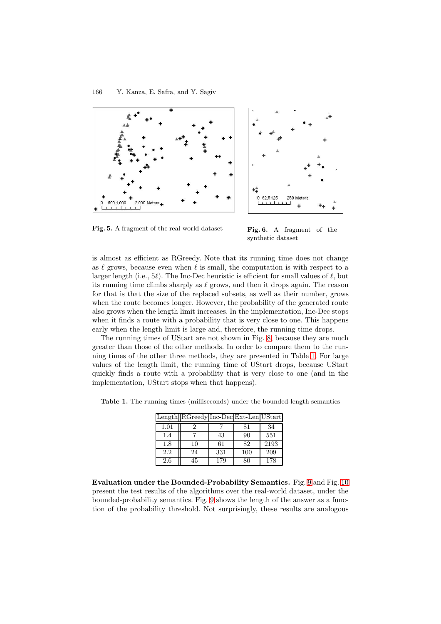

**Fig. 5.** A fragment of the real-world dataset **Fig. 6.** A fragment of the

synthetic dataset

<span id="page-13-0"></span>is almost as efficient as RGreedy. Note that its running time does not change as  $\ell$  grows, because even when  $\ell$  is small, the computation is with respect to a larger length (i.e.,  $5\ell$ ). The Inc-Dec heuristic is efficient for small values of  $\ell$ , but its running time climbs sharply as  $\ell$  grows, and then it drops again. The reason for that is that the size of the replaced subsets, as well as their number, grows when the route becomes longer. However, the probability of the generated route also grows when the length limit increases. In the implementation, Inc-Dec stops when it finds a route with a probability that is very close to one. This happens early when the length limit is large and, therefore, the running time drops.

The running times of UStart are not shown in Fig. 8, because they are much greater than those of the other methods. In order to compare them to the running times of the other three methods, they are presented in Table 1. For large values of the length limit, the running time of UStart drops, because UStart quickly finds a route with a probability that is very [c](#page-14-1)lose to one (and in the implementation, UStart stops when that happens).

|      | Length RGreedy Inc-Dec Ext-Len UStart |     |     |      |
|------|---------------------------------------|-----|-----|------|
| 1.01 |                                       |     | 81  | 34   |
| 1.4  |                                       | 43  | 90  | 551  |
| 1.8  | 10                                    | 61  | 82  | 2193 |
| 2.2  | 24                                    | 331 | 100 | 209  |
| 2.6  | 45                                    | 179 | 80  | 178  |

**Table 1.** The running times (milliseconds) under the bounded-length semantics

**Evaluation under the Bounded-Probability Semantics.** Fig. 9 and Fig. 10 present the test results of the algorithms over the real-world dataset, under the bounded-probability semantics. Fig. 9 shows the length of the answer as a function of the probability threshold. Not surprisingly, these results are analogous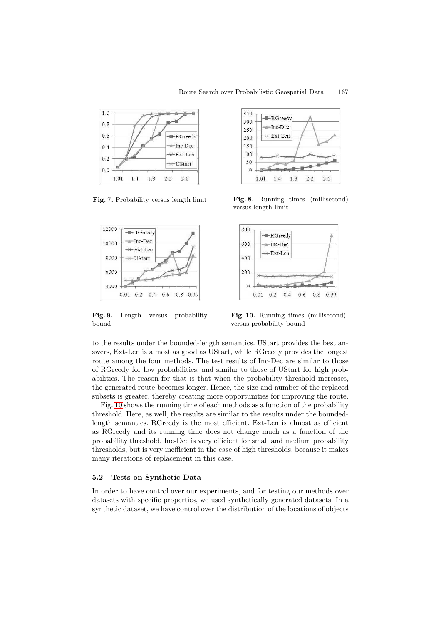



**Fig. 9.** Length versus probability bound



**Fig. 7.** Probability versus length limit **Fig. 8.** Running times (millisecond) versus length limit

<span id="page-14-1"></span><span id="page-14-0"></span>

<span id="page-14-2"></span>**Fig. 10.** Running times (millisecond) versus probability bound

to the results under the bounded-length semantics. UStart provides the best answers, Ext-Len is almost as good as UStart, while RGreedy provides the longest route among the four methods. The test results of Inc-Dec are similar to those of RGreedy for low probabilities, and similar to those of UStart for high probabilities. The reason for that is that when the probability threshold increases, the generated route becomes longer. Hence, the size and number of the replaced subsets is greater, thereby creating more opportunities for improving the route.

Fig. 10 shows the running time of each methods as a function of the probability threshold. Here, as well, the results are similar to the results under the boundedlength semantics. RGreedy is the most efficient. Ext-Len is almost as efficient as RGreedy and its running time does not change much as a function of the proba[bilit](#page-14-2)y threshold. Inc-Dec is very efficient for small and medium probability thresholds, but is very inefficient in the case of high thresholds, because it makes many iterations of replacement in this case.

#### **5.2 Tests on Synthetic Data**

In order to have control over our experiments, and for testing our methods over datasets with specific properties, we used synthetically generated datasets. In a synthetic dataset, we have control over the distribution of the locations of objects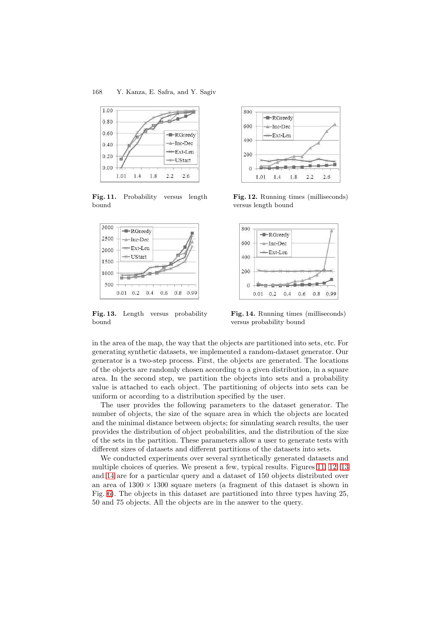

Fig. 11. Probability versus length bound



**Fig. 13.** Length versus probability bound



**Fig. 12.** Running times (milliseconds) versus length bound

<span id="page-15-1"></span><span id="page-15-0"></span>

<span id="page-15-3"></span><span id="page-15-2"></span>**Fig. 14.** Running times (milliseconds) versus probability bound

in the area of the map, the way that the objects are partitioned into sets, etc. For generating synthetic datasets, we implemented a random-dataset generator. Our generator is a two-step process. First, the objects are generated. The locations of the objects are randomly chosen according to a given distribution, in a square area. In the second step, we partition the objects into sets and a probability value is attached to each object. The partitioning of objects into sets can be uniform or according to a distribution specified by the user.

The user provides the following parameters to the dataset generator. The number of objects, the size of the square area in which the objects are located and the minimal distance between objects; for simulating search results, the user provides the distribution of object probabilities, and the distribution of the size of the sets in the partition. These parameters allow a user to generate tests with different sizes of datasets and different partitions of the datasets into sets.

We conducted experiments over several synthetically generated datasets and multiple choices of queries. We present a few, typical results. Figures 11, 12, 13 and 14 are for a particular query and a dataset of 150 objects distributed over an area of  $1300 \times 1300$  square meters (a fragment of this dataset is shown in Fig. 6). The objects in this dataset are partitioned into three types having 25, 50 and 75 objects. All the objects are in the answer to the query.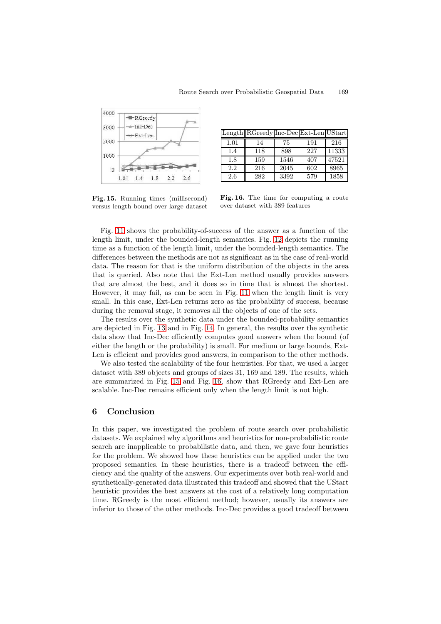

|      | Length RGreedy Inc-Dec Ext-Len UStart |      |     |       |
|------|---------------------------------------|------|-----|-------|
| 1.01 | 14                                    | 75   | 191 | 216   |
| 1.4  | 118                                   | 898  | 227 | 11333 |
| 1.8  | 159                                   | 1546 | 407 | 47521 |
| 2.2  | 216                                   | 2045 | 602 | 8965  |
| 2.6  | 282                                   | 3392 | 579 | 1858  |

**Fig. 15.** Running times (millisecond) versus length bound over large dataset

**Fig. 16.** The time for computing a route over dataset with 389 features

Fig. 11 shows the probability-of-success of the answer as a function of the length limit, under the bounded-length semantics. Fig. 12 depicts the running time as a function of the length limit, under the bounded-length semantics. The differences between the methods are not as significant as in the case of real-world data. [The](#page-15-0) reason for that is the uniform distribution of the objects in the area that is queried. Also note that the Ext-Len method u[sua](#page-15-1)lly provides answers that are almost the best, and it does so in time that is almost the shortest. However, it may fail, as can be seen in Fig. 11 when the length limit is very small. In this case, Ext-Len returns zero as the probability of success, because during the removal stage, it removes all the objects of one of the sets.

The results over the synthetic data under the bounded-probability semantics are depicted in Fig. 13 and in Fig. 14. In gen[eral](#page-15-0), the results over the synthetic data show that Inc-Dec efficiently computes good answers when the bound (of either the length or the probability) is small. For medium or large bounds, Ext-Len is efficient and provides good answers, in comparison to the other methods.

We also tested th[e sc](#page-15-2)alability of [the](#page-15-3) four heuristics. For that, we used a larger dataset with 389 objects and groups of sizes 31, 169 and 189. The results, which are summarized in Fig. 15 and Fig. 16, show that RGreedy and Ext-Len are scalable. Inc-Dec remains efficient only when the length limit is not high.

## **6 Conclusion**

<span id="page-16-0"></span>In this paper, we investigated the problem of route search over probabilistic datasets. We explained why algorithms and heuristics for non-probabilistic route search are inapplicable to probabilistic data, and then, we gave four heuristics for the problem. We showed how these heuristics can be applied under the two proposed semantics. In these heuristics, there is a tradeoff between the efficiency and the quality of the answers. Our experiments over both real-world and synthetically-generated data illustrated this tradeoff and showed that the UStart heuristic provides the best answers at the cost of a relatively long computation time. RGreedy is the most efficient method; however, usually its answers are inferior to those of the other methods. Inc-Dec provides a good tradeoff between